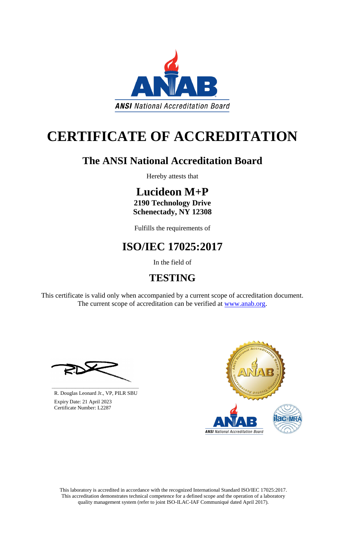This laboratory is accredited in accordance with the recognized International Standard ISO/IEC 17025:2017. This accreditation demonstrates technical competence for a defined scope and the operation of a laboratory quality management system (refer to joint ISO-ILAC-IAF Communiqué dated April 2017).

This certificate is valid only when accompanied by a current scope of accreditation document. The current scope of accreditation can be verified at [www.anab.org.](http://www.anab.org/)



# **CERTIFICATE OF ACCREDITATION**

### **The ANSI National Accreditation Board**

Hereby attests that

### **Lucideon M+P 2190 Technology Drive**

**Schenectady, NY 12308**

Fulfills the requirements of

### **ISO/IEC 17025:2017**

In the field of

## **TESTING**





R. Douglas Leonard Jr., VP, PILR SBU

 Expiry Date: 21 April 2023 Certificate Number: L2287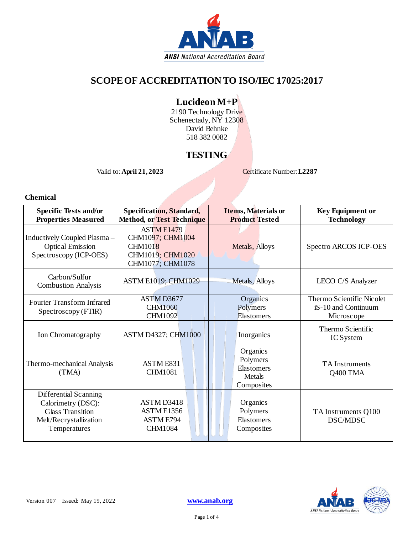

#### **SCOPEOF ACCREDITATION TO ISO/IEC 17025:2017**

#### **Lucideon M+P**

2190 Technology Driv<mark>e</mark> Schenectady, NY 12308 David Behnke 518 382 0082

#### **TESTING**

Valid to:**April 21, 2023** Certificate Number:**L2287**

**Chemical**

| <b>Specific Tests and/or</b><br><b>Properties Measured</b>                                                       | <b>Specification, Standard,</b><br><b>Method, or Test Technique</b>                             | <b>Items, Materials or</b><br><b>Product Tested</b>        | <b>Key Equipment or</b><br><b>Technology</b>                   |
|------------------------------------------------------------------------------------------------------------------|-------------------------------------------------------------------------------------------------|------------------------------------------------------------|----------------------------------------------------------------|
| Inductively Coupled Plasma -<br><b>Optical Emission</b><br>Spectroscopy (ICP-OES)                                | <b>ASTM E1479</b><br>CHM1097; CHM1004<br><b>CHM1018</b><br>CHM1019; CHM1020<br>CHM1077; CHM1078 | Metals, Alloys                                             | Spectro ARCOS ICP-OES                                          |
| Carbon/Sulfur<br><b>Combustion Analysis</b>                                                                      | <b>ASTM E1019; CHM1029</b>                                                                      | Metals, Alloys                                             | LECO C/S Analyzer                                              |
| Fourier Transform Infrared<br>Spectroscopy (FTIR)                                                                | ASTM D3677<br><b>CHM1060</b><br><b>CHM1092</b>                                                  | Organics<br>Polymers<br><b>Elastomers</b>                  | Thermo Scientific Nicolet<br>iS-10 and Continuum<br>Microscope |
| Ion Chromatography                                                                                               | <b>ASTM D4327; CHM1000</b>                                                                      | Inorganics                                                 | Thermo Scientific<br>IC System                                 |
| Thermo-mechanical Analysis<br>(TMA)                                                                              | ASTME831<br><b>CHM1081</b>                                                                      | Organics<br>Polymers<br>Elastomers<br>Metals<br>Composites | <b>TA</b> Instruments<br>Q400 TMA                              |
| Differential Scanning<br>Calorimetry (DSC):<br><b>Glass Transition</b><br>Melt/Recrystallization<br>Temperatures | ASTM D3418<br>ASTM E1356<br><b>ASTM E794</b><br><b>CHM1084</b>                                  | <b>Organics</b><br>Polymers<br>Elastomers<br>Composites    | TA Instruments Q100<br>DSC/MDSC                                |

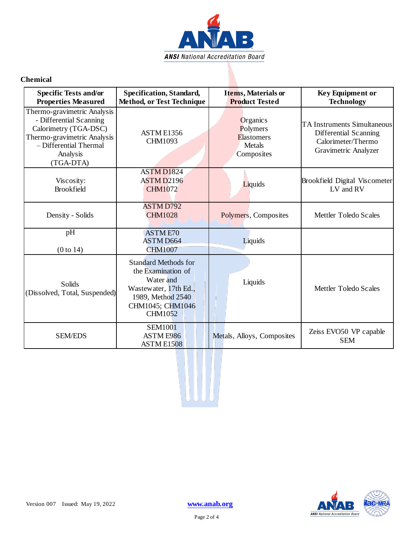

#### **Chemical**

| <b>Specific Tests and/or</b><br><b>Properties Measured</b>                                                                                                        | Specification, Standard,<br><b>Method, or Test Technique</b>                                                                                       | <b>Items, Materials or</b><br><b>Product Tested</b>               | <b>Key Equipment or</b><br><b>Technology</b>                                                              |
|-------------------------------------------------------------------------------------------------------------------------------------------------------------------|----------------------------------------------------------------------------------------------------------------------------------------------------|-------------------------------------------------------------------|-----------------------------------------------------------------------------------------------------------|
| Thermo-gravimetric Analysis<br>- Differential Scanning<br>Calorimetry (TGA-DSC)<br>Thermo-gravimetric Analysis<br>- Differential Thermal<br>Analysis<br>(TGA-DTA) | ASTM E1356<br><b>CHM1093</b>                                                                                                                       | <b>Organics</b><br>Polymers<br>Elastomers<br>Metals<br>Composites | <b>TA Instruments Simultaneous</b><br>Differential Scanning<br>Calorimeter/Thermo<br>Gravimetric Analyzer |
| Viscosity:<br><b>Brookfield</b>                                                                                                                                   | <b>ASTM D1824</b><br><b>ASTM D2196</b><br><b>CHM1072</b>                                                                                           | Liquids                                                           | Brookfield Digital Viscometer<br>LV and RV                                                                |
| Density - Solids                                                                                                                                                  | <b>ASTM D792</b><br><b>CHM1028</b>                                                                                                                 | Polymers, Composites                                              | Mettler Toledo Scales                                                                                     |
| pH<br>(0 to 14)                                                                                                                                                   | <b>ASTME70</b><br><b>ASTM D664</b><br><b>CHM1007</b>                                                                                               | Liquids                                                           |                                                                                                           |
| Solids<br>(Dissolved, Total, Suspended)                                                                                                                           | <b>Standard Methods for</b><br>the Examination of<br>Water and<br>Wastewater, 17th Ed.,<br>1989, Method 2540<br>CHM1045; CHM1046<br><b>CHM1052</b> | Liquids                                                           | Mettler Toledo Scales                                                                                     |
| <b>SEM/EDS</b>                                                                                                                                                    | <b>SEM1001</b><br><b>ASTM E986</b><br>ASTM E1508                                                                                                   | Metals, Alloys, Composites                                        | Zeiss EVO50 VP capable<br><b>SEM</b>                                                                      |

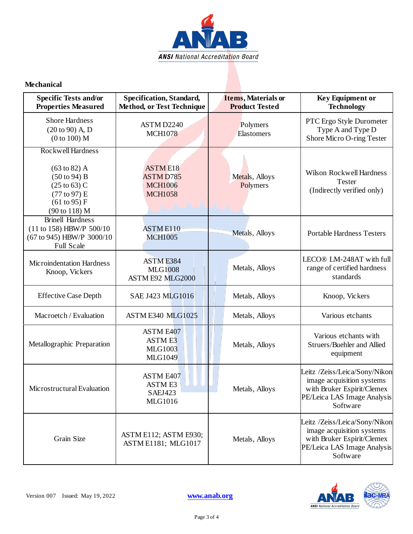

#### **Mechanical**

| <b>Specific Tests and/or</b><br><b>Properties Measured</b>                                                                                                         | <b>Specification, Standard,</b><br><b>Method, or Test Technique</b>    | <b>Items, Materials or</b><br><b>Product Tested</b> | <b>Key Equipment or</b><br><b>Technology</b>                                                                                        |
|--------------------------------------------------------------------------------------------------------------------------------------------------------------------|------------------------------------------------------------------------|-----------------------------------------------------|-------------------------------------------------------------------------------------------------------------------------------------|
| <b>Shore Hardness</b><br>$(20 to 90)$ A, D<br>(0 to 100) M                                                                                                         | ASTM D2240<br><b>MCH1078</b>                                           | Polymers<br>Elastomers                              | PTC Ergo Style Durometer<br>Type A and Type D<br>Shore Micro O-ring Tester                                                          |
| <b>Rockwell Hardness</b><br>$(63 \text{ to } 82)$ A<br>$(50 \text{ to } 94) B$<br>$(25 \text{ to } 63) \text{ C}$<br>(77 to 97) E<br>(61 to 95) F<br>(90 to 118) M | <b>ASTME18</b><br><b>ASTM D785</b><br><b>MCH1006</b><br><b>MCH1058</b> | Metals, Alloys<br>Polymers                          | Wilson Rockwell Hardness<br>Tester<br>(Indirectly verified only)                                                                    |
| <b>Brinell Hardness</b><br>(11 to 158) HBW/P 500/10<br>(67 to 945) HBW/P 3000/10<br><b>Full Scale</b>                                                              | <b>ASTME110</b><br><b>MCH1005</b>                                      | Metals, Alloys                                      | <b>Portable Hardness Testers</b>                                                                                                    |
| <b>Microindentation Hardness</b><br>Knoop, Vickers                                                                                                                 | <b>ASTME384</b><br><b>MLG1008</b><br>ASTM E92 MLG2000                  | Metals, Alloys                                      | LECO® LM-248AT with full<br>range of certified hardness<br>standards                                                                |
| <b>Effective Case Depth</b>                                                                                                                                        | <b>SAE J423 MLG1016</b>                                                | Metals, Alloys                                      | Knoop, Vickers                                                                                                                      |
| Macroetch / Evaluation                                                                                                                                             | ASTM E340 MLG1025                                                      | Metals, Alloys                                      | Various etchants                                                                                                                    |
| Metallographic Preparation                                                                                                                                         | <b>ASTM E407</b><br><b>ASTME3</b><br><b>MLG1003</b><br><b>MLG1049</b>  | Metals, Alloys                                      | Various etchants with<br>Struers/Buehler and Allied<br>equipment                                                                    |
| Microstructural Evaluation                                                                                                                                         | <b>ASTM E407</b><br><b>ASTM E3</b><br>SAEJ423<br><b>MLG1016</b>        | Metals, Alloys                                      | Leitz /Zeiss/Leica/Sony/Nikon<br>image acquisition systems<br>with Bruker Espirit/Clemex<br>PE/Leica LAS Image Analysis<br>Software |
| Grain Size                                                                                                                                                         | ASTM E112; ASTM E930;<br><b>ASTM E1181; MLG1017</b>                    | Metals, Alloys                                      | Leitz /Zeiss/Leica/Sony/Nikon<br>image acquisition systems<br>with Bruker Espirit/Clemex<br>PE/Leica LAS Image Analysis<br>Software |